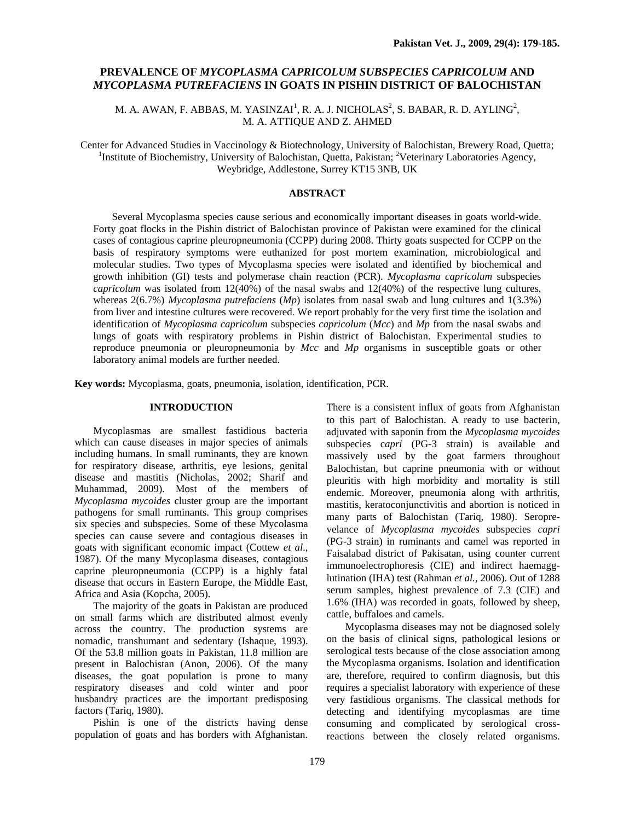# **PREVALENCE OF** *MYCOPLASMA CAPRICOLUM SUBSPECIES CAPRICOLUM* **AND** *MYCOPLASMA PUTREFACIENS* **IN GOATS IN PISHIN DISTRICT OF BALOCHISTAN**

M. A. AWAN, F. ABBAS, M. YASINZAI<sup>1</sup>, R. A. J. NICHOLAS<sup>2</sup>, S. BABAR, R. D. AYLING<sup>2</sup>, M. A. ATTIQUE AND Z. AHMED

Center for Advanced Studies in Vaccinology & Biotechnology, University of Balochistan, Brewery Road, Quetta; 1 Institute of Biochemistry, University of Balochistan, Quetta, Pakistan; <sup>2</sup>Veterinary Laboratories Agency, Weybridge, Addlestone, Surrey KT15 3NB, UK

## **ABSTRACT**

Several Mycoplasma species cause serious and economically important diseases in goats world-wide. Forty goat flocks in the Pishin district of Balochistan province of Pakistan were examined for the clinical cases of contagious caprine pleuropneumonia (CCPP) during 2008. Thirty goats suspected for CCPP on the basis of respiratory symptoms were euthanized for post mortem examination, microbiological and molecular studies. Two types of Mycoplasma species were isolated and identified by biochemical and growth inhibition (GI) tests and polymerase chain reaction (PCR). *Mycoplasma capricolum* subspecies *capricolum* was isolated from 12(40%) of the nasal swabs and 12(40%) of the respective lung cultures, whereas 2(6.7%) *Mycoplasma putrefaciens* (*Mp*) isolates from nasal swab and lung cultures and 1(3.3%) from liver and intestine cultures were recovered. We report probably for the very first time the isolation and identification of *Mycoplasma capricolum* subspecies *capricolum* (*Mcc*) and *Mp* from the nasal swabs and lungs of goats with respiratory problems in Pishin district of Balochistan. Experimental studies to reproduce pneumonia or pleuropneumonia by *Mcc* and *Mp* organisms in susceptible goats or other laboratory animal models are further needed.

**Key words:** Mycoplasma, goats, pneumonia, isolation, identification, PCR.

## **INTRODUCTION**

Mycoplasmas are smallest fastidious bacteria which can cause diseases in major species of animals including humans. In small ruminants, they are known for respiratory disease, arthritis, eye lesions, genital disease and mastitis (Nicholas, 2002; Sharif and Muhammad, 2009). Most of the members of *Mycoplasma mycoides* cluster group are the important pathogens for small ruminants. This group comprises six species and subspecies. Some of these Mycolasma species can cause severe and contagious diseases in goats with significant economic impact (Cottew *et al*., 1987). Of the many Mycoplasma diseases, contagious caprine pleuropneumonia (CCPP) is a highly fatal disease that occurs in Eastern Europe, the Middle East, Africa and Asia (Kopcha, 2005).

The majority of the goats in Pakistan are produced on small farms which are distributed almost evenly across the country. The production systems are nomadic, transhumant and sedentary (Ishaque, 1993). Of the 53.8 million goats in Pakistan, 11.8 million are present in Balochistan (Anon, 2006). Of the many diseases, the goat population is prone to many respiratory diseases and cold winter and poor husbandry practices are the important predisposing factors (Tariq, 1980).

Pishin is one of the districts having dense population of goats and has borders with Afghanistan.

There is a consistent influx of goats from Afghanistan to this part of Balochistan. A ready to use bacterin, adjuvated with saponin from the *Mycoplasma mycoides* subspecies c*apri* (PG-3 strain) is available and massively used by the goat farmers throughout Balochistan, but caprine pneumonia with or without pleuritis with high morbidity and mortality is still endemic. Moreover, pneumonia along with arthritis, mastitis, keratoconjunctivitis and abortion is noticed in many parts of Balochistan (Tariq, 1980). Seroprevelance of *Mycoplasma mycoides* subspecies *capri*  (PG-3 strain) in ruminants and camel was reported in Faisalabad district of Pakisatan, using counter current immunoelectrophoresis (CIE) and indirect haemagglutination (IHA) test (Rahman *et al.,* 2006). Out of 1288 serum samples, highest prevalence of 7.3 (CIE) and 1.6% (IHA) was recorded in goats, followed by sheep, cattle, buffaloes and camels.

Mycoplasma diseases may not be diagnosed solely on the basis of clinical signs, pathological lesions or serological tests because of the close association among the Mycoplasma organisms. Isolation and identification are, therefore, required to confirm diagnosis, but this requires a specialist laboratory with experience of these very fastidious organisms. The classical methods for detecting and identifying mycoplasmas are time consuming and complicated by serological crossreactions between the closely related organisms.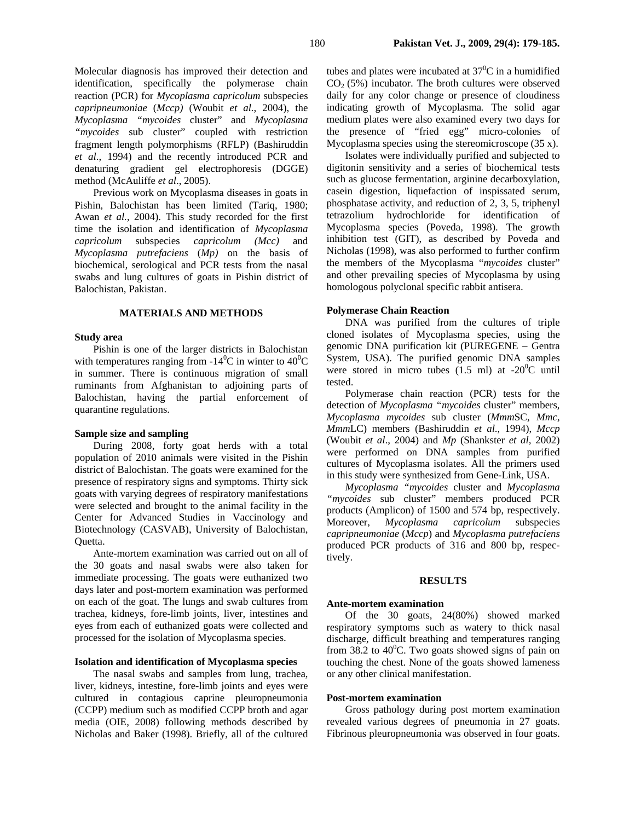Molecular diagnosis has improved their detection and identification, specifically the polymerase chain reaction (PCR) for *Mycoplasma capricolum* subspecies *capripneumoniae* (*Mccp)* (Woubit *et al.*, 2004), the *Mycoplasma "mycoides* cluster" and *Mycoplasma "mycoides* sub cluster" coupled with restriction fragment length polymorphisms (RFLP) (Bashiruddin *et al*., 1994) and the recently introduced PCR and denaturing gradient gel electrophoresis (DGGE) method (McAuliffe *et al*., 2005).

Previous work on Mycoplasma diseases in goats in Pishin, Balochistan has been limited (Tariq, 1980; Awan *et al.*, 2004). This study recorded for the first time the isolation and identification of *Mycoplasma capricolum* subspecies *capricolum (Mcc)* and *Mycoplasma putrefaciens* (*Mp)* on the basis of biochemical, serological and PCR tests from the nasal swabs and lung cultures of goats in Pishin district of Balochistan, Pakistan.

## **MATERIALS AND METHODS**

### **Study area**

Pishin is one of the larger districts in Balochistan with temperatures ranging from -14<sup>0</sup>C in winter to  $40^{\circ}$ C in summer. There is continuous migration of small ruminants from Afghanistan to adjoining parts of Balochistan, having the partial enforcement of quarantine regulations.

## **Sample size and sampling**

During 2008, forty goat herds with a total population of 2010 animals were visited in the Pishin district of Balochistan. The goats were examined for the presence of respiratory signs and symptoms. Thirty sick goats with varying degrees of respiratory manifestations were selected and brought to the animal facility in the Center for Advanced Studies in Vaccinology and Biotechnology (CASVAB), University of Balochistan, Quetta.

Ante-mortem examination was carried out on all of the 30 goats and nasal swabs were also taken for immediate processing. The goats were euthanized two days later and post-mortem examination was performed on each of the goat. The lungs and swab cultures from trachea, kidneys, fore-limb joints, liver, intestines and eyes from each of euthanized goats were collected and processed for the isolation of Mycoplasma species.

### **Isolation and identification of Mycoplasma species**

The nasal swabs and samples from lung, trachea, liver, kidneys, intestine, fore-limb joints and eyes were cultured in contagious caprine pleuropneumonia (CCPP) medium such as modified CCPP broth and agar media (OIE, 2008) following methods described by Nicholas and Baker (1998). Briefly, all of the cultured

tubes and plates were incubated at  $37^{\circ}$ C in a humidified  $CO<sub>2</sub>$  (5%) incubator. The broth cultures were observed daily for any color change or presence of cloudiness indicating growth of Mycoplasma*.* The solid agar medium plates were also examined every two days for the presence of "fried egg" micro-colonies of Mycoplasma species using the stereomicroscope (35 x).

Isolates were individually purified and subjected to digitonin sensitivity and a series of biochemical tests such as glucose fermentation, arginine decarboxylation, casein digestion, liquefaction of inspissated serum, phosphatase activity, and reduction of 2, 3, 5, triphenyl tetrazolium hydrochloride for identification of Mycoplasma species (Poveda, 1998). The growth inhibition test (GIT), as described by Poveda and Nicholas (1998), was also performed to further confirm the members of the Mycoplasma "*mycoides* cluster" and other prevailing species of Mycoplasma by using homologous polyclonal specific rabbit antisera.

## **Polymerase Chain Reaction**

DNA was purified from the cultures of triple cloned isolates of Mycoplasma species, using the genomic DNA purification kit (PUREGENE – Gentra System, USA). The purified genomic DNA samples were stored in micro tubes  $(1.5 \text{ ml})$  at -20<sup>0</sup>C until tested.

Polymerase chain reaction (PCR) tests for the detection of *Mycoplasma "mycoides* cluster" members, *Mycoplasma mycoides* sub cluster (*Mmm*SC*, Mmc, Mmm*LC) members (Bashiruddin *et al*., 1994), *Mccp* (Woubit *et al*., 2004) and *Mp* (Shankster *et al,* 2002) were performed on DNA samples from purified cultures of Mycoplasma isolates. All the primers used in this study were synthesized from Gene-Link, USA.

*Mycoplasma "mycoides* cluster and *Mycoplasma "mycoides* sub cluster" members produced PCR products (Amplicon) of 1500 and 574 bp, respectively. Moreover, *Mycoplasma capricolum* subspecies *capripneumoniae* (*Mccp*) and *Mycoplasma putrefaciens*  produced PCR products of 316 and 800 bp, respectively.

#### **RESULTS**

#### **Ante-mortem examination**

Of the 30 goats, 24(80%) showed marked respiratory symptoms such as watery to thick nasal discharge, difficult breathing and temperatures ranging from 38.2 to  $40^{\circ}$ C. Two goats showed signs of pain on touching the chest. None of the goats showed lameness or any other clinical manifestation.

### **Post-mortem examination**

Gross pathology during post mortem examination revealed various degrees of pneumonia in 27 goats. Fibrinous pleuropneumonia was observed in four goats.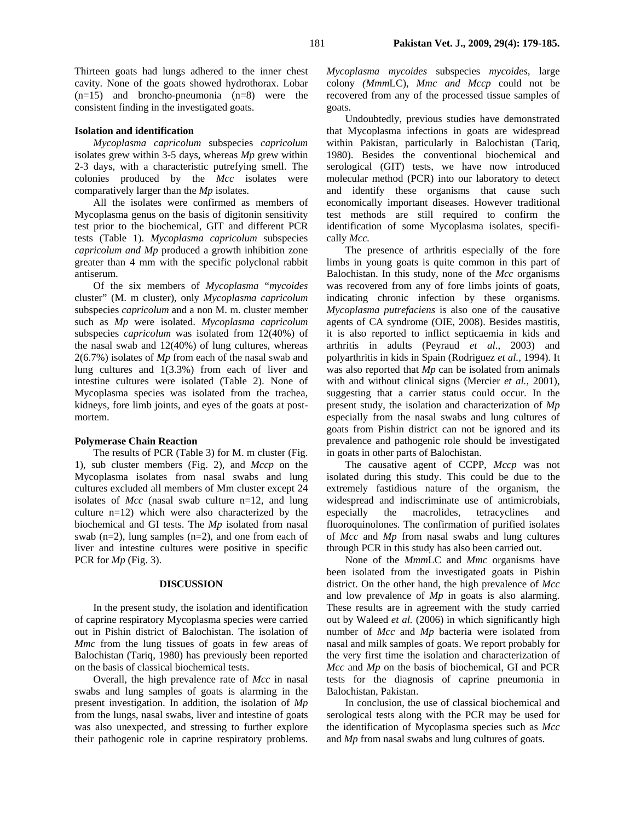Thirteen goats had lungs adhered to the inner chest cavity. None of the goats showed hydrothorax. Lobar  $(n=15)$  and broncho-pneumonia  $(n=8)$  were the consistent finding in the investigated goats.

### **Isolation and identification**

*Mycoplasma capricolum* subspecies *capricolum* isolates grew within 3-5 days, whereas *Mp* grew within 2-3 days, with a characteristic putrefying smell. The colonies produced by the *Mcc* isolates were comparatively larger than the *Mp* isolates.

All the isolates were confirmed as members of Mycoplasma genus on the basis of digitonin sensitivity test prior to the biochemical, GIT and different PCR tests (Table 1). *Mycoplasma capricolum* subspecies *capricolum and Mp* produced a growth inhibition zone greater than 4 mm with the specific polyclonal rabbit antiserum.

Of the six members of *Mycoplasma* "*mycoides* cluster" (M. m cluster), only *Mycoplasma capricolum* subspecies *capricolum* and a non M. m. cluster member such as *Mp* were isolated. *Mycoplasma capricolum* subspecies *capricolum* was isolated from 12(40%) of the nasal swab and 12(40%) of lung cultures, whereas 2(6.7%) isolates of *Mp* from each of the nasal swab and lung cultures and 1(3.3%) from each of liver and intestine cultures were isolated (Table 2). None of Mycoplasma species was isolated from the trachea, kidneys, fore limb joints, and eyes of the goats at postmortem.

### **Polymerase Chain Reaction**

The results of PCR (Table 3) for M. m cluster (Fig. 1), sub cluster members (Fig. 2), and *Mccp* on the Mycoplasma isolates from nasal swabs and lung cultures excluded all members of Mm cluster except 24 isolates of *Mcc* (nasal swab culture n=12, and lung culture n=12) which were also characterized by the biochemical and GI tests. The *Mp* isolated from nasal swab (n=2), lung samples (n=2), and one from each of liver and intestine cultures were positive in specific PCR for *Mp* (Fig. 3).

#### **DISCUSSION**

In the present study, the isolation and identification of caprine respiratory Mycoplasma species were carried out in Pishin district of Balochistan. The isolation of *Mmc* from the lung tissues of goats in few areas of Balochistan (Tariq, 1980) has previously been reported on the basis of classical biochemical tests.

Overall, the high prevalence rate of *Mcc* in nasal swabs and lung samples of goats is alarming in the present investigation. In addition, the isolation of *Mp* from the lungs, nasal swabs, liver and intestine of goats was also unexpected, and stressing to further explore their pathogenic role in caprine respiratory problems. *Mycoplasma mycoides* subspecies *mycoides,* large colony *(Mmm*LC), *Mmc and Mccp* could not be recovered from any of the processed tissue samples of goats.

Undoubtedly, previous studies have demonstrated that Mycoplasma infections in goats are widespread within Pakistan, particularly in Balochistan (Tariq, 1980). Besides the conventional biochemical and serological (GIT) tests, we have now introduced molecular method (PCR) into our laboratory to detect and identify these organisms that cause such economically important diseases. However traditional test methods are still required to confirm the identification of some Mycoplasma isolates, specifically *Mcc.* 

The presence of arthritis especially of the fore limbs in young goats is quite common in this part of Balochistan. In this study, none of the *Mcc* organisms was recovered from any of fore limbs joints of goats, indicating chronic infection by these organisms. *Mycoplasma putrefaciens* is also one of the causative agents of CA syndrome (OIE, 2008). Besides mastitis, it is also reported to inflict septicaemia in kids and arthritis in adults (Peyraud *et al*., 2003) and polyarthritis in kids in Spain (Rodriguez *et al.*, 1994). It was also reported that *Mp* can be isolated from animals with and without clinical signs (Mercier *et al.,* 2001), suggesting that a carrier status could occur. In the present study, the isolation and characterization of *Mp* especially from the nasal swabs and lung cultures of goats from Pishin district can not be ignored and its prevalence and pathogenic role should be investigated in goats in other parts of Balochistan.

The causative agent of CCPP, *Mccp* was not isolated during this study. This could be due to the extremely fastidious nature of the organism, the widespread and indiscriminate use of antimicrobials, especially the macrolides, tetracyclines and fluoroquinolones. The confirmation of purified isolates of *Mcc* and *Mp* from nasal swabs and lung cultures through PCR in this study has also been carried out.

None of the *Mmm*LC and *Mmc* organisms have been isolated from the investigated goats in Pishin district. On the other hand, the high prevalence of *Mcc*  and low prevalence of *Mp* in goats is also alarming. These results are in agreement with the study carried out by Waleed *et al.* (2006) in which significantly high number of *Mcc* and *Mp* bacteria were isolated from nasal and milk samples of goats. We report probably for the very first time the isolation and characterization of *Mcc* and *Mp* on the basis of biochemical, GI and PCR tests for the diagnosis of caprine pneumonia in Balochistan, Pakistan.

In conclusion, the use of classical biochemical and serological tests along with the PCR may be used for the identification of Mycoplasma species such as *Mcc* and *Mp* from nasal swabs and lung cultures of goats.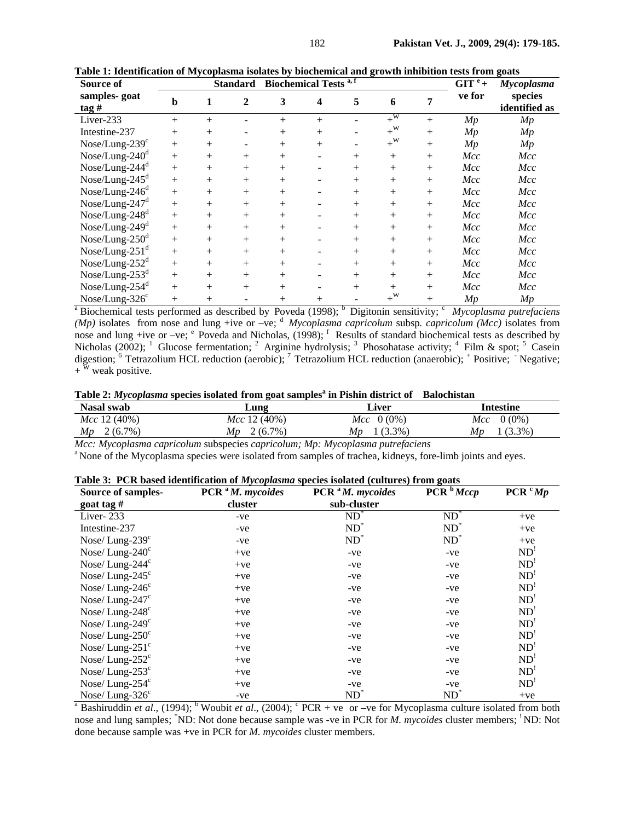| Source of                                         | <b>Biochemical Tests a,f</b><br><b>Standard</b> |        |                  |        |        |        |                  |        | $GIT^e +$ | Mycoplasma               |
|---------------------------------------------------|-------------------------------------------------|--------|------------------|--------|--------|--------|------------------|--------|-----------|--------------------------|
| samples-goat<br>$\frac{\tan \theta}{\tan \theta}$ | b                                               | 1      | $\boldsymbol{2}$ | 3      | 4      | 5      | 6                | 7      | ve for    | species<br>identified as |
| Liver-233                                         | $^{+}$                                          | $^{+}$ |                  | $^{+}$ | $+$    |        | $+\sqrt{W}$      | $^{+}$ | Mp        | Mp                       |
| Intestine-237                                     | $^{+}$                                          | $^{+}$ |                  | $^{+}$ | $+$    | -      | $+^{\rm W}$      | $^{+}$ | Mp        | Mp                       |
| $Nose/Lung-239c$                                  | $^{+}$                                          | $^{+}$ |                  | $^{+}$ | $+$    |        | $+^{\rm W}$      | $^{+}$ | Mp        | Mp                       |
| Nose/Lung- $240d$                                 | $+$                                             | $^{+}$ | $+$              | $^{+}$ |        | $^{+}$ | $+$              | $+$    | Mcc       | Mcc                      |
| Nose/Lung- $244d$                                 | $+$                                             | $^{+}$ | $^{+}$           | $^{+}$ |        | $^{+}$ | $+$              | $^{+}$ | Mcc       | Mcc                      |
| Nose/Lung- $245^d$                                | $^{+}$                                          | $^{+}$ | $^{+}$           | $^{+}$ |        | $^{+}$ | $+$              | $+$    | Mcc       | Mcc                      |
| $Nose/Lung-246d$                                  | $+$                                             | $^{+}$ | $^{+}$           | $^{+}$ |        | $^{+}$ | $+$              | $^{+}$ | Mcc       | Mcc                      |
| Nose/Lung- $247d$                                 | $^{+}$                                          | $^{+}$ | $+$              | $^{+}$ |        | $^{+}$ | $+$              | $+$    | Mcc       | Mcc                      |
| $Nose/Lung-248d$                                  | $+$                                             | $^{+}$ | $+$              | $^{+}$ |        | $^{+}$ | $+$              | $^{+}$ | Mcc       | Mcc                      |
| Nose/Lung- $249d$                                 | $+$                                             | $^{+}$ | $+$              | $^{+}$ |        | $^{+}$ | $+$              | $+$    | Mcc       | Mcc                      |
| Nose/Lung- $250^d$                                | $^{+}$                                          | $^{+}$ | $^{+}$           | $^{+}$ |        | $^{+}$ | $^{+}$           | $^{+}$ | Mcc       | Mcc                      |
| Nose/Lung- $251d$                                 | $+$                                             | $^{+}$ | $^{+}$           | $^{+}$ |        | $^{+}$ | $^+$             | $+$    | Mcc       | Mcc                      |
| Nose/Lung- $252d$                                 | $^{+}$                                          | $^+$   | $^{+}$           | $^{+}$ |        | $^{+}$ | $^{+}$           | $^{+}$ | Mcc       | Mcc                      |
| Nose/Lung- $253d$                                 | $+$                                             | $^{+}$ | $^{+}$           | $^{+}$ |        | $^{+}$ | $+$              | $^{+}$ | Mcc       | Mcc                      |
| Nose/Lung- $254d$                                 | $^{+}$                                          | $^{+}$ | $^{+}$           | $^{+}$ |        | $^{+}$ | $^{+}$           | $^{+}$ | Mcc       | Mcc                      |
| $Nose/Lung-326c$                                  | $^{+}$                                          | $^{+}$ |                  | $^{+}$ | $^{+}$ |        | $+^{\mathrm{W}}$ | $^{+}$ | Mp        | Mp                       |

**Table 1: Identification of Mycoplasma isolates by biochemical and growth inhibition tests from goats** 

<sup>a</sup> Biochemical tests performed as described by Poveda (1998); <sup>b</sup> Digitonin sensitivity; <sup>c</sup> *Mycoplasma putrefaciens (Mp)* isolates from nose and lung +ive or –ve; <sup>d</sup> *Mycoplasma capricolum* subsp. *capricolum (Mcc)* isolates from nose and lung +ive or –ve;  $e^e$  Poveda and Nicholas, (1998); <sup>f</sup> Results of standard biochemical tests as described by Nicholas (2002); <sup>1</sup> Glucose fermentation; <sup>2</sup> Arginine hydrolysis; <sup>3</sup> Phosohatase activity; <sup>4</sup> Film & spot; <sup>5</sup> Casein digestion; <sup>6</sup> Tetrazolium HCL reduction (aerobic); <sup>7</sup> Tetrazolium HCL reduction (anaerobic); <sup>+</sup> Positive; Negative;  $+$ <sup> $\bar{w}$ </sup> weak positive.

Table 2: *Mycoplasma* species isolated from goat samples<sup>a</sup> in Pishin district of Balochistan

| <b>Nasal swab</b> | Lung             | Liver               | Intestine           |  |  |
|-------------------|------------------|---------------------|---------------------|--|--|
| Mcc 12 (40%)      | Mcc 12 (40%)     | <i>Mcc</i> $0(0\%)$ | $Mcc \quad 0 (0\%)$ |  |  |
| $2(6.7\%)$<br>Mp  | $2(6.7\%)$<br>Mp | $.3.3\%$ )<br>Mp    | $(3.3\%)$<br>Mp     |  |  |

*Mcc: Mycoplasma capricolum* subspecies *capricolum; Mp: Mycoplasma putrefaciens* <sup>a</sup> None of the Mycoplasma species were isolated from samples of trachea, kidneys, fore-limb joints and eyes.

|  |  |  |  |  | Table 3: PCR based identification of Mycoplasma species isolated (cultures) from goats |  |
|--|--|--|--|--|----------------------------------------------------------------------------------------|--|
|  |  |  |  |  |                                                                                        |  |

| Source of samples-                                                                                                                                                  | PCR <sup>a</sup> M. mycoides | $PCRaM$ . mycoides | $\overline{PCR}^{b}Mccp$   | PCR <sup>c</sup> Mp |  |  |  |  |
|---------------------------------------------------------------------------------------------------------------------------------------------------------------------|------------------------------|--------------------|----------------------------|---------------------|--|--|--|--|
| goat tag $#$                                                                                                                                                        | cluster                      | sub-cluster        |                            |                     |  |  |  |  |
| Liver-233                                                                                                                                                           | -ve                          | $ND^*$             | $\overline{\mathrm{ND}}^*$ | $+ve$               |  |  |  |  |
| Intestine-237                                                                                                                                                       | -ve                          | $ND^*$             | $ND^*$                     | $+ve$               |  |  |  |  |
| Nose/Lung- $239c$                                                                                                                                                   | -ve                          | $ND^*$             | $ND^*$                     | $+ve$               |  |  |  |  |
| Nose/Lung- $240^{\circ}$                                                                                                                                            | $+ve$                        | -ve                | -ve                        | ND'                 |  |  |  |  |
| Nose/Lung- $244^{\circ}$                                                                                                                                            | $+ve$                        | $-ve$              | $-ve$                      | ND'                 |  |  |  |  |
| Nose/Lung- $245^{\circ}$                                                                                                                                            | $+ve$                        | -ve                | -ve                        | ND'                 |  |  |  |  |
| Nose/Lung- $246^{\circ}$                                                                                                                                            | $+ve$                        | -ve                | -ve                        | ND'                 |  |  |  |  |
| Nose/Lung- $247^{\circ}$                                                                                                                                            | $+ve$                        | -ve                | -ve                        | ND'                 |  |  |  |  |
| Nose/Lung- $248^{\circ}$                                                                                                                                            | $+ve$                        | -ve                | -ve                        | ND'                 |  |  |  |  |
| Nose/Lung- $249^\circ$                                                                                                                                              | $+ve$                        | -ve                | -ve                        | ND'                 |  |  |  |  |
| Nose/Lung- $250^{\circ}$                                                                                                                                            | $+ve$                        | -ve                | -ve                        | ND                  |  |  |  |  |
| Nose/Lung- $251^{\circ}$                                                                                                                                            | $+ve$                        | -ve                | -ve                        | ND'                 |  |  |  |  |
| Nose/Lung- $252^{\circ}$                                                                                                                                            | $+ve$                        | -ve                | -ve                        | ND'                 |  |  |  |  |
| Nose/Lung- $253^{\circ}$                                                                                                                                            | $+ve$                        | -ve                | $-ve$                      | ND'                 |  |  |  |  |
| Nose/Lung- $254^{\circ}$                                                                                                                                            | $+ve$                        | -ve                | -ve                        | ND'                 |  |  |  |  |
| Nose/Lung- $326^{\circ}$                                                                                                                                            | -ve                          | $ND^*$             | $ND^*$                     | $+ve$               |  |  |  |  |
| <sup>a</sup> Bashiruddin <i>et al.</i> , (1994); <sup>b</sup> Woubit <i>et al.</i> , (2004); <sup>c</sup> PCR + ve or -ve for Mycoplasma culture isolated from both |                              |                    |                            |                     |  |  |  |  |

nose and lung samples; <sup>\*</sup>ND: Not done because sample was -ve in PCR for *M. mycoides* cluster members; <sup>1</sup>ND: Not done because sample was +ve in PCR for *M. mycoides* cluster members.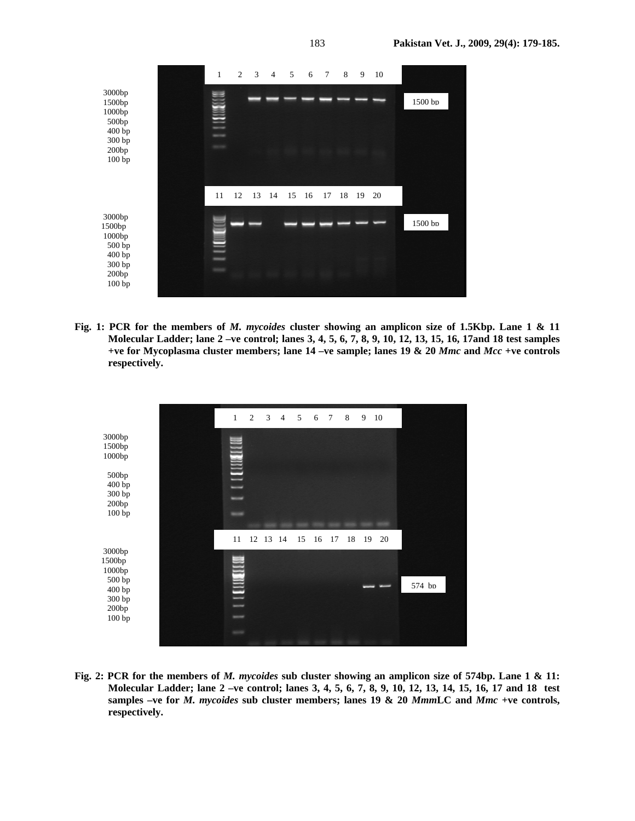

**Fig. 1: PCR for the members of** *M. mycoides* **cluster showing an amplicon size of 1.5Kbp. Lane 1 & 11 Molecular Ladder; lane 2 –ve control; lanes 3, 4, 5, 6, 7, 8, 9, 10, 12, 13, 15, 16, 17and 18 test samples +ve for Mycoplasma cluster members; lane 14 –ve sample; lanes 19 & 20** *Mmc* **and** *Mcc* **+ve controls respectively.** 



**Fig. 2: PCR for the members of** *M. mycoides* **sub cluster showing an amplicon size of 574bp. Lane 1 & 11: Molecular Ladder; lane 2 –ve control; lanes 3, 4, 5, 6, 7, 8, 9, 10, 12, 13, 14, 15, 16, 17 and 18 test samples –ve for** *M. mycoides* **sub cluster members; lanes 19 & 20** *Mmm***LC and** *Mmc* **+ve controls, respectively.**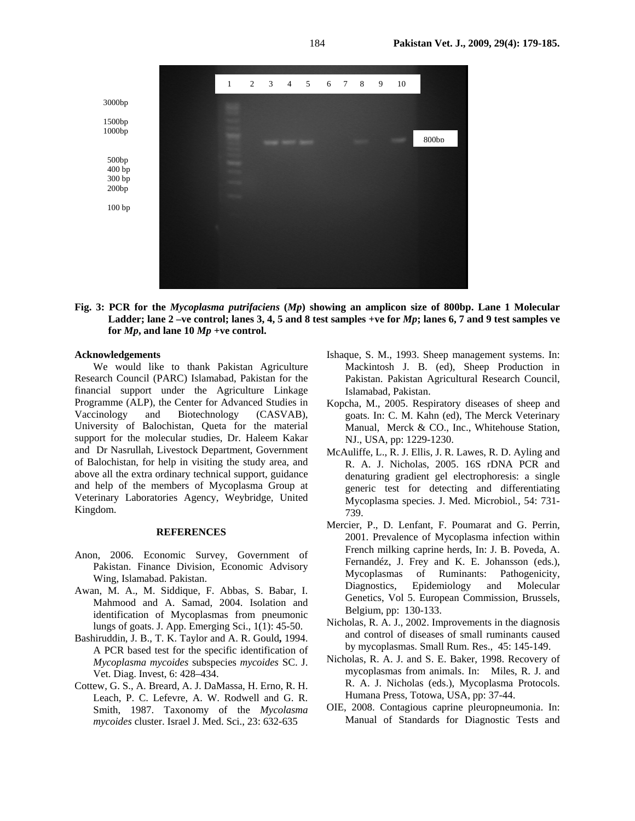

**Fig. 3: PCR for the** *Mycoplasma putrifaciens* **(***Mp***) showing an amplicon size of 800bp. Lane 1 Molecular**  Ladder; lane  $2$  –ve control; lanes  $3, 4, 5$  and  $8$  test samples +ve for  $Mp$ ; lanes  $6, 7$  and  $9$  test samples ve for  $Mp$ , and lane  $10 Mp$  +ve control.

## **Acknowledgements**

We would like to thank Pakistan Agriculture Research Council (PARC) Islamabad, Pakistan for the financial support under the Agriculture Linkage Programme (ALP), the Center for Advanced Studies in Vaccinology and Biotechnology (CASVAB), University of Balochistan, Queta for the material support for the molecular studies, Dr. Haleem Kakar and Dr Nasrullah, Livestock Department, Government of Balochistan, for help in visiting the study area, and above all the extra ordinary technical support, guidance and help of the members of Mycoplasma Group at Veterinary Laboratories Agency, Weybridge, United Kingdom.

#### **REFERENCES**

- Anon, 2006. Economic Survey, Government of Pakistan. Finance Division, Economic Advisory Wing, Islamabad. Pakistan.
- Awan, M. A., M. Siddique, F. Abbas, S. Babar, I. Mahmood and A. Samad, 2004. Isolation and identification of Mycoplasmas from pneumonic lungs of goats. J. App. Emerging Sci., 1(1): 45-50.
- Bashiruddin, J. B., T. K. Taylor and A. R. Gould**,** 1994. A PCR based test for the specific identification of *Mycoplasma mycoides* subspecies *mycoides* SC. J. Vet. Diag. Invest, 6: 428–434.
- Cottew, G. S., A. Breard, A. J. DaMassa, H. Erno, R. H. Leach, P. C. Lefevre, A. W. Rodwell and G. R. Smith, 1987. Taxonomy of the *Mycolasma mycoides* cluster. Israel J. Med. Sci., 23: 632-635
- Ishaque, S. M., 1993. Sheep management systems. In: Mackintosh J. B. (ed), Sheep Production in Pakistan. Pakistan Agricultural Research Council, Islamabad, Pakistan.
- Kopcha, M., 2005. Respiratory diseases of sheep and goats. In: C. M. Kahn (ed), The Merck Veterinary Manual, Merck & CO., Inc., Whitehouse Station, NJ., USA, pp: 1229-1230.
- McAuliffe, L., R. J. Ellis, J. R. Lawes, R. D. Ayling and R. A. J. Nicholas, 2005. 16S rDNA PCR and denaturing gradient gel electrophoresis: a single generic test for detecting and differentiating Mycoplasma species. J. Med. Microbiol*.,* 54: 731- 739.
- Mercier, P., D. Lenfant, F. Poumarat and G. Perrin, 2001. Prevalence of Mycoplasma infection within French milking caprine herds, In: J. B. Poveda, A. Fernandéz, J. Frey and K. E. Johansson (eds.), Mycoplasmas of Ruminants: Pathogenicity, Diagnostics, Epidemiology and Molecular Genetics, Vol 5. European Commission, Brussels, Belgium, pp: 130-133.
- Nicholas, R. A. J., 2002. Improvements in the diagnosis and control of diseases of small ruminants caused by mycoplasmas. Small Rum. Res., 45: 145-149.
- Nicholas, R. A. J. and S. E. Baker, 1998. Recovery of mycoplasmas from animals. In: Miles, R. J. and R. A. J. Nicholas (eds.), Mycoplasma Protocols. Humana Press, Totowa, USA, pp: 37-44.
- OIE, 2008. Contagious caprine pleuropneumonia. In: Manual of Standards for Diagnostic Tests and